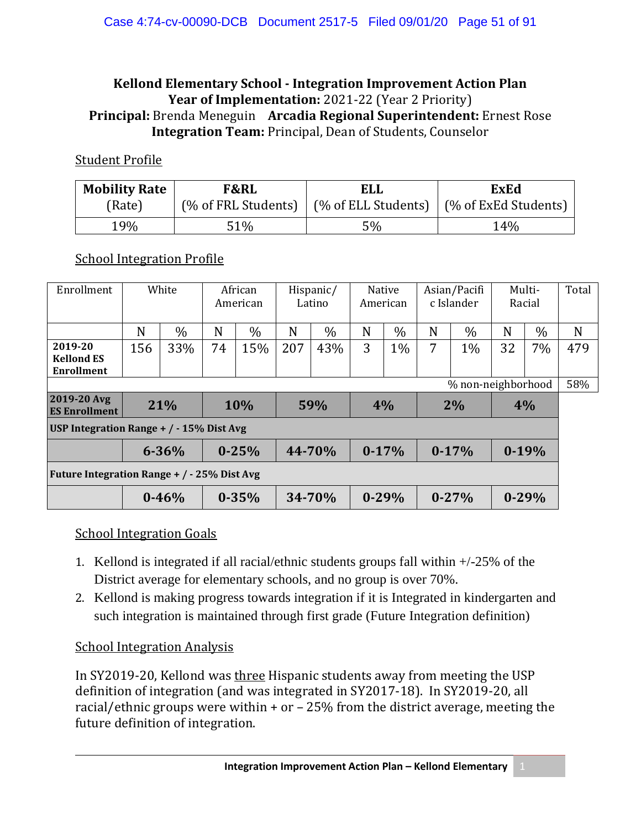#### **Kellond Elementary School - Integration Improvement Action Plan Year of Implementation:** 2021-22 (Year 2 Priority) **Principal:** Brenda Meneguin **Arcadia Regional Superintendent:** Ernest Rose **Integration Team:** Principal, Dean of Students, Counselor

#### Student Profile

| <b>Mobility Rate</b> | <b>F&amp;RL</b> | <b>ELL</b>                                        | <b>ExEd</b>          |  |  |  |
|----------------------|-----------------|---------------------------------------------------|----------------------|--|--|--|
| (Rate)               |                 | $(\%$ of FRL Students) $\mid$ (% of ELL Students) | (% of ExEd Students) |  |  |  |
| 19%                  | 51%             | 5%                                                | 14%                  |  |  |  |

#### **School Integration Profile**

| Enrollment                                  | White |           | African<br>American |           | Hispanic/<br>Latino |        | <b>Native</b><br>American |       | Asian/Pacifi<br>c Islander |           | Multi-<br>Racial |           | Total |
|---------------------------------------------|-------|-----------|---------------------|-----------|---------------------|--------|---------------------------|-------|----------------------------|-----------|------------------|-----------|-------|
|                                             | N     | $\%$      | N                   | $\%$      | N                   | $\%$   | N                         | $\%$  | N                          | $\%$      | N                | $\%$      | N     |
| 2019-20<br><b>Kellond ES</b><br>Enrollment  | 156   | 33%       | 74                  | 15%       | 207                 | 43%    | 3                         | $1\%$ | 7                          | 1%        | 32               | $7\%$     | 479   |
| % non-neighborhood                          |       |           |                     |           |                     |        |                           |       |                            |           | 58%              |           |       |
| 2019-20 Avg<br><b>ES Enrollment</b>         | 21%   |           |                     | 10%       |                     | 59%    | 4%                        |       | 2%                         |           | 4%               |           |       |
| USP Integration Range + $/ -15\%$ Dist Avg  |       |           |                     |           |                     |        |                           |       |                            |           |                  |           |       |
|                                             |       | $6 - 36%$ |                     | $0 - 25%$ |                     | 44-70% | $0-17%$                   |       |                            | $0-17%$   |                  | $0-19%$   |       |
| Future Integration Range + / - 25% Dist Avg |       |           |                     |           |                     |        |                           |       |                            |           |                  |           |       |
|                                             |       | $0 - 46%$ |                     | $0 - 35%$ |                     | 34-70% | $0 - 29%$                 |       |                            | $0 - 27%$ |                  | $0 - 29%$ |       |

#### School Integration Goals

- 1. Kellond is integrated if all racial/ethnic students groups fall within +/-25% of the District average for elementary schools, and no group is over 70%.
- 2. Kellond is making progress towards integration if it is Integrated in kindergarten and such integration is maintained through first grade (Future Integration definition)

#### School Integration Analysis

In SY2019-20, Kellond was three Hispanic students away from meeting the USP definition of integration (and was integrated in SY2017-18). In SY2019-20, all racial/ethnic groups were within + or – 25% from the district average, meeting the future definition of integration.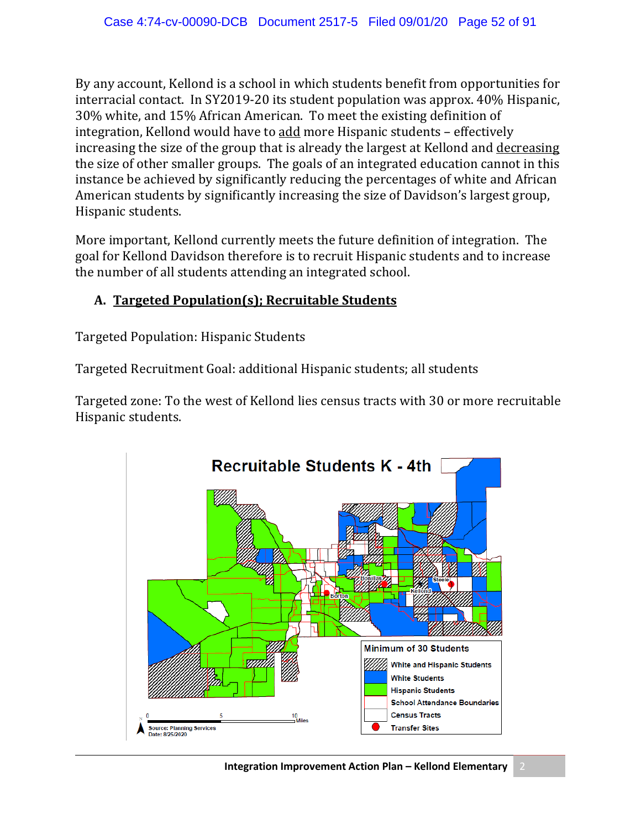By any account, Kellond is a school in which students benefit from opportunities for interracial contact. In SY2019-20 its student population was approx. 40% Hispanic, 30% white, and 15% African American. To meet the existing definition of integration, Kellond would have to add more Hispanic students – effectively increasing the size of the group that is already the largest at Kellond and decreasing the size of other smaller groups. The goals of an integrated education cannot in this instance be achieved by significantly reducing the percentages of white and African American students by significantly increasing the size of Davidson's largest group, Hispanic students.

More important, Kellond currently meets the future definition of integration. The goal for Kellond Davidson therefore is to recruit Hispanic students and to increase the number of all students attending an integrated school.

### **A. Targeted Population(s); Recruitable Students**

Targeted Population: Hispanic Students

Targeted Recruitment Goal: additional Hispanic students; all students

Targeted zone: To the west of Kellond lies census tracts with 30 or more recruitable Hispanic students.

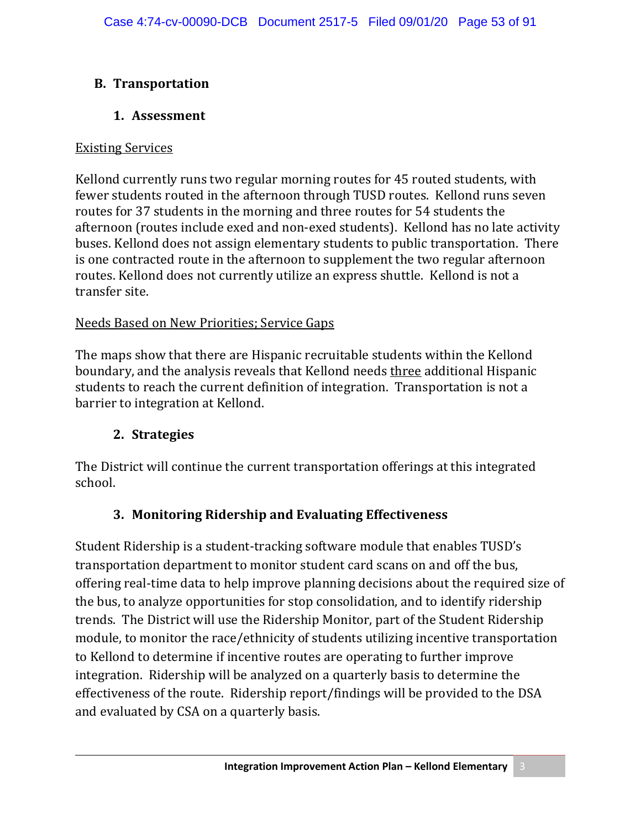## **B. Transportation**

### **1. Assessment**

### Existing Services

Kellond currently runs two regular morning routes for 45 routed students, with fewer students routed in the afternoon through TUSD routes. Kellond runs seven routes for 37 students in the morning and three routes for 54 students the afternoon (routes include exed and non-exed students). Kellond has no late activity buses. Kellond does not assign elementary students to public transportation. There is one contracted route in the afternoon to supplement the two regular afternoon routes. Kellond does not currently utilize an express shuttle. Kellond is not a transfer site.

### Needs Based on New Priorities; Service Gaps

The maps show that there are Hispanic recruitable students within the Kellond boundary, and the analysis reveals that Kellond needs three additional Hispanic students to reach the current definition of integration. Transportation is not a barrier to integration at Kellond.

## **2. Strategies**

The District will continue the current transportation offerings at this integrated school.

## **3. Monitoring Ridership and Evaluating Effectiveness**

Student Ridership is a student-tracking software module that enables TUSD's transportation department to monitor student card scans on and off the bus, offering real-time data to help improve planning decisions about the required size of the bus, to analyze opportunities for stop consolidation, and to identify ridership trends. The District will use the Ridership Monitor, part of the Student Ridership module, to monitor the race/ethnicity of students utilizing incentive transportation to Kellond to determine if incentive routes are operating to further improve integration. Ridership will be analyzed on a quarterly basis to determine the effectiveness of the route. Ridership report/findings will be provided to the DSA and evaluated by CSA on a quarterly basis.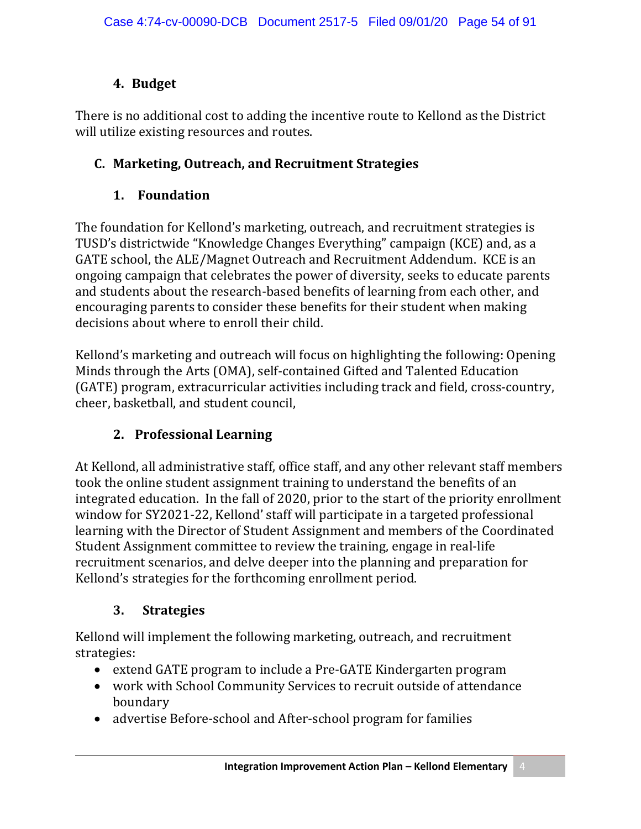## **4. Budget**

There is no additional cost to adding the incentive route to Kellond as the District will utilize existing resources and routes.

# **C. Marketing, Outreach, and Recruitment Strategies**

# **1. Foundation**

The foundation for Kellond's marketing, outreach, and recruitment strategies is TUSD's districtwide "Knowledge Changes Everything" campaign (KCE) and, as a GATE school, the ALE/Magnet Outreach and Recruitment Addendum. KCE is an ongoing campaign that celebrates the power of diversity, seeks to educate parents and students about the research-based benefits of learning from each other, and encouraging parents to consider these benefits for their student when making decisions about where to enroll their child.

Kellond's marketing and outreach will focus on highlighting the following: Opening Minds through the Arts (OMA), self-contained Gifted and Talented Education (GATE) program, extracurricular activities including track and field, cross-country, cheer, basketball, and student council,

# **2. Professional Learning**

At Kellond, all administrative staff, office staff, and any other relevant staff members took the online student assignment training to understand the benefits of an integrated education. In the fall of 2020, prior to the start of the priority enrollment window for SY2021-22, Kellond' staff will participate in a targeted professional learning with the Director of Student Assignment and members of the Coordinated Student Assignment committee to review the training, engage in real-life recruitment scenarios, and delve deeper into the planning and preparation for Kellond's strategies for the forthcoming enrollment period.

# **3. Strategies**

Kellond will implement the following marketing, outreach, and recruitment strategies:

- extend GATE program to include a Pre-GATE Kindergarten program
- work with School Community Services to recruit outside of attendance boundary
- advertise Before-school and After-school program for families